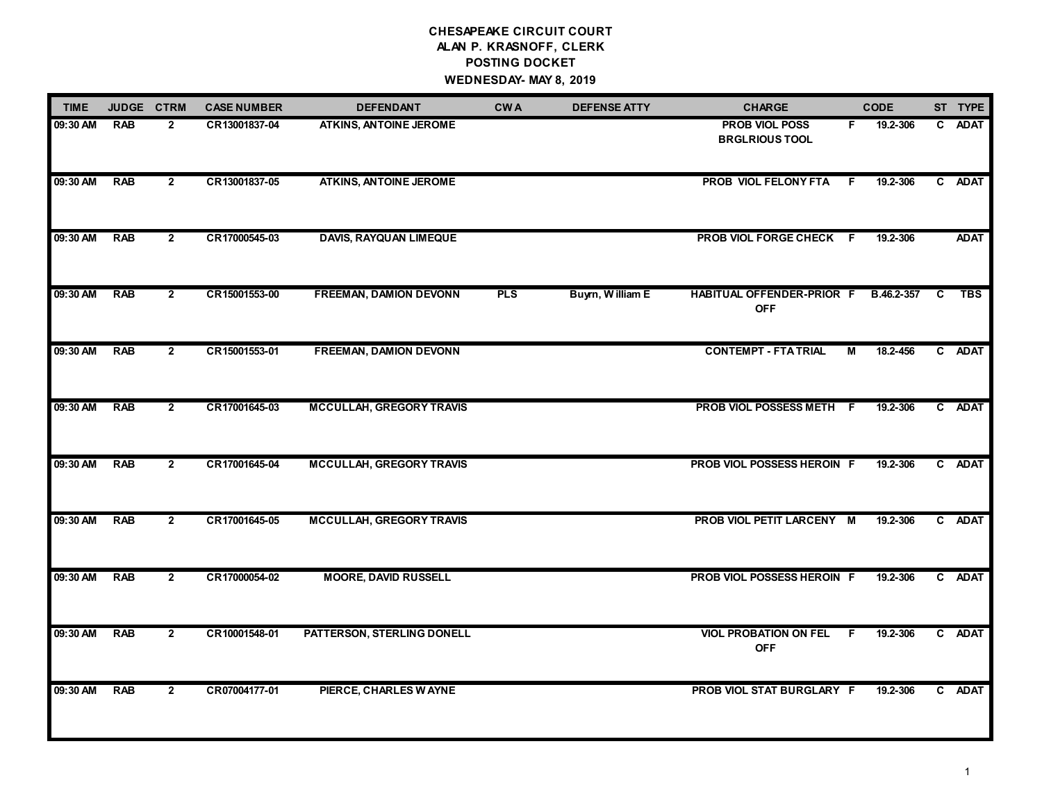# **CHESAPEAKE CIRCUIT COURT ALAN P. KRASNOFF, CLERK POSTING DOCKET WEDNESDAY- MAY 8, 2019**

| <b>TIME</b> |            | JUDGE CTRM     | <b>CASE NUMBER</b> | <b>DEFENDANT</b>                | <b>CWA</b> | <b>DEFENSE ATTY</b> | <b>CHARGE</b>                                  |    | <b>CODE</b> |   | ST TYPE     |
|-------------|------------|----------------|--------------------|---------------------------------|------------|---------------------|------------------------------------------------|----|-------------|---|-------------|
| 09:30 AM    | <b>RAB</b> | $\mathbf{2}$   | CR13001837-04      | <b>ATKINS, ANTOINE JEROME</b>   |            |                     | <b>PROB VIOL POSS</b><br><b>BRGLRIOUS TOOL</b> | F. | 19.2-306    |   | C ADAT      |
| 09:30 AM    | <b>RAB</b> | $\mathbf{2}$   | CR13001837-05      | <b>ATKINS, ANTOINE JEROME</b>   |            |                     | PROB VIOL FELONY FTA                           | F. | 19.2-306    |   | C ADAT      |
| 09:30 AM    | <b>RAB</b> | $\mathbf{2}$   | CR17000545-03      | <b>DAVIS, RAYQUAN LIMEQUE</b>   |            |                     | PROB VIOL FORGE CHECK F                        |    | 19.2-306    |   | <b>ADAT</b> |
| 09:30 AM    | <b>RAB</b> | $\mathbf{2}$   | CR15001553-00      | <b>FREEMAN, DAMION DEVONN</b>   | <b>PLS</b> | Buyrn, William E    | <b>HABITUAL OFFENDER-PRIOR F</b><br><b>OFF</b> |    | B.46.2-357  | C | <b>TBS</b>  |
| 09:30 AM    | <b>RAB</b> | $\mathbf{2}$   | CR15001553-01      | <b>FREEMAN, DAMION DEVONN</b>   |            |                     | <b>CONTEMPT - FTA TRIAL</b>                    | М  | 18.2-456    |   | C ADAT      |
| 09:30 AM    | <b>RAB</b> | $\mathbf{2}$   | CR17001645-03      | <b>MCCULLAH, GREGORY TRAVIS</b> |            |                     | PROB VIOL POSSESS METH F                       |    | 19.2-306    |   | C ADAT      |
| 09:30 AM    | <b>RAB</b> | $\overline{2}$ | CR17001645-04      | <b>MCCULLAH, GREGORY TRAVIS</b> |            |                     | PROB VIOL POSSESS HEROIN F                     |    | 19.2-306    |   | C ADAT      |
| 09:30 AM    | RAB        | $\mathbf{2}$   | CR17001645-05      | <b>MCCULLAH, GREGORY TRAVIS</b> |            |                     | PROB VIOL PETIT LARCENY M                      |    | 19.2-306    |   | C ADAT      |
| 09:30 AM    | <b>RAB</b> | $\overline{2}$ | CR17000054-02      | <b>MOORE, DAVID RUSSELL</b>     |            |                     | PROB VIOL POSSESS HEROIN F                     |    | 19.2-306    |   | C ADAT      |
| 09:30 AM    | <b>RAB</b> | $\overline{2}$ | CR10001548-01      | PATTERSON, STERLING DONELL      |            |                     | <b>VIOL PROBATION ON FEL</b><br><b>OFF</b>     | F. | 19.2-306    |   | C ADAT      |
| 09:30 AM    | <b>RAB</b> | $\mathbf{2}$   | CR07004177-01      | PIERCE, CHARLES WAYNE           |            |                     | PROB VIOL STAT BURGLARY F                      |    | 19.2-306    |   | C ADAT      |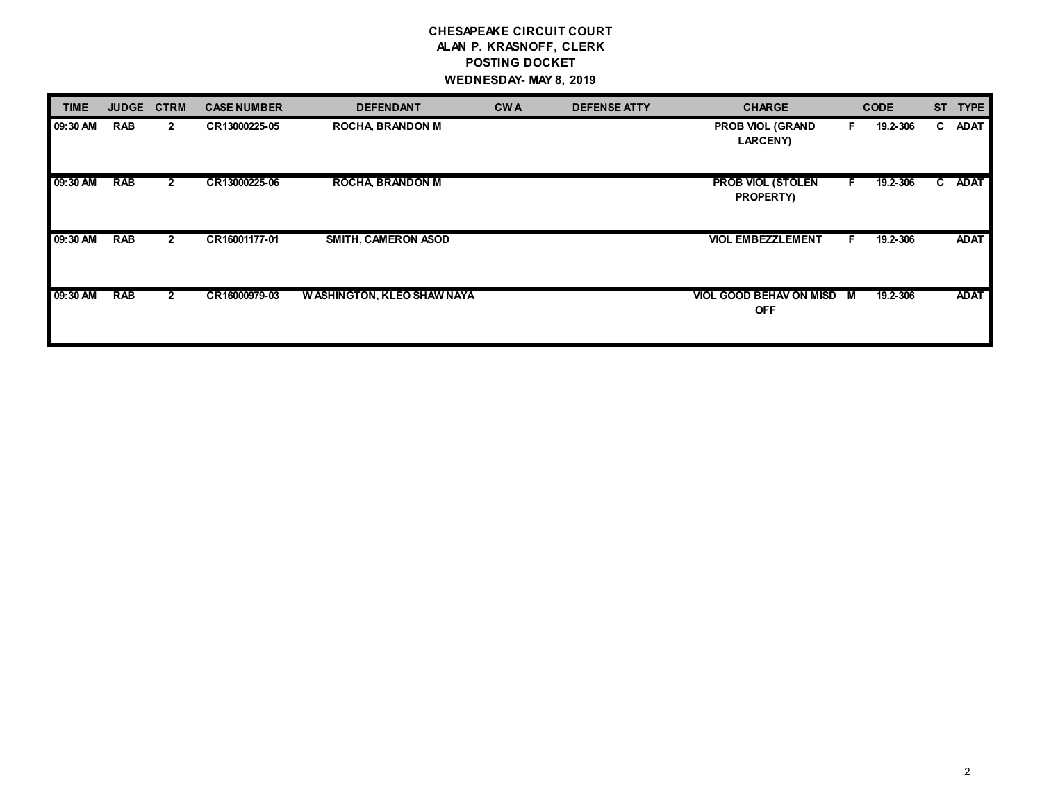# **CHESAPEAKE CIRCUIT COURT ALAN P. KRASNOFF, CLERK POSTING DOCKET WEDNESDAY- MAY 8, 2019**

| TIME     | <b>JUDGE</b> | <b>CTRM</b>    | <b>CASE NUMBER</b> | <b>DEFENDANT</b>            | <b>CWA</b> | <b>DEFENSE ATTY</b> | <b>CHARGE</b>                              |    | <b>CODE</b> | <b>ST</b> | <b>TYPE</b> |
|----------|--------------|----------------|--------------------|-----------------------------|------------|---------------------|--------------------------------------------|----|-------------|-----------|-------------|
| 09:30 AM | <b>RAB</b>   | $\mathbf{2}$   | CR13000225-05      | <b>ROCHA BRANDON M</b>      |            |                     | <b>PROB VIOL (GRAND</b><br><b>LARCENY)</b> | F. | 19.2-306    | C         | <b>ADAT</b> |
| 09:30 AM | <b>RAB</b>   | $\mathbf{2}$   | CR13000225-06      | <b>ROCHA BRANDON M</b>      |            |                     | <b>PROB VIOL (STOLEN</b><br>PROPERTY)      | F. | 19.2-306    |           | C ADAT      |
| 09:30 AM | <b>RAB</b>   | $\mathbf{2}$   | CR16001177-01      | <b>SMITH, CAMERON ASOD</b>  |            |                     | <b>VIOL EMBEZZLEMENT</b>                   | F. | 19.2-306    |           | <b>ADAT</b> |
| 09:30 AM | <b>RAB</b>   | $\overline{2}$ | CR16000979-03      | W ASHINGTON, KLEO SHAW NAYA |            |                     | VIOL GOOD BEHAV ON MISD M<br><b>OFF</b>    |    | 19.2-306    |           | <b>ADAT</b> |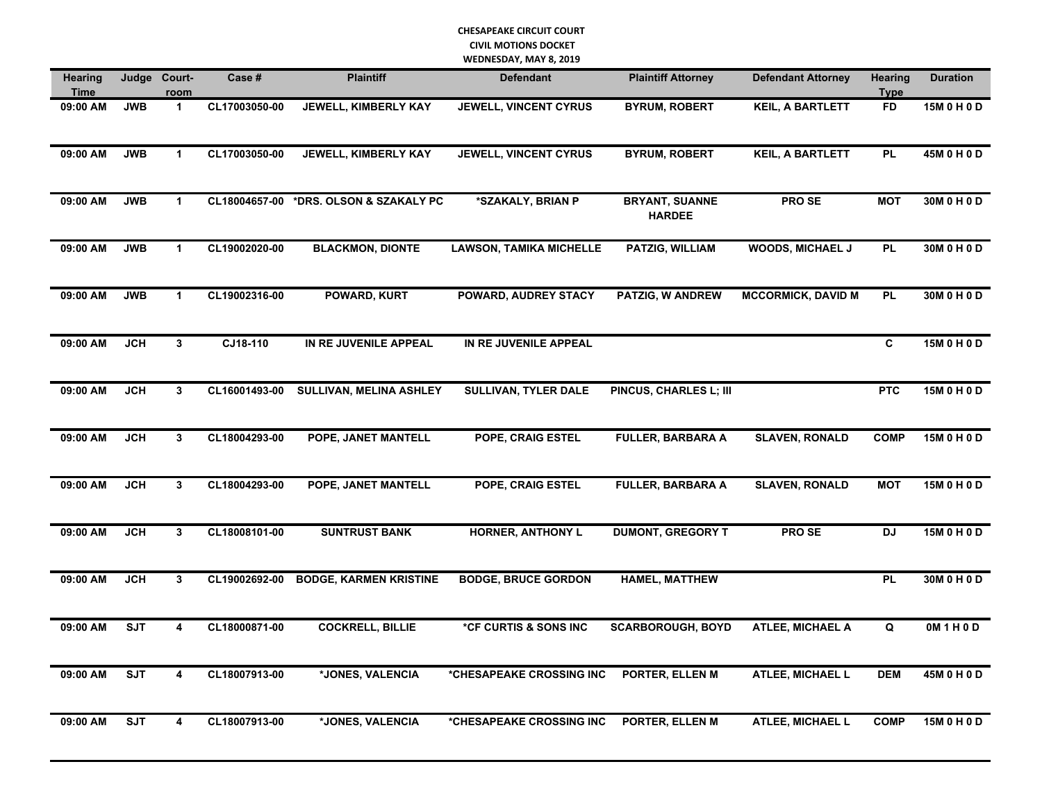| <b>Hearing</b><br><b>Time</b> | Judge      | Court-<br><u>room</u> | Case #        | <b>Plaintiff</b>                       | <b>Defendant</b>               | <b>Plaintiff Attorney</b>              | <b>Defendant Attorney</b> | <b>Hearing</b><br><b>Type</b> | <b>Duration</b> |
|-------------------------------|------------|-----------------------|---------------|----------------------------------------|--------------------------------|----------------------------------------|---------------------------|-------------------------------|-----------------|
| 09:00 AM                      | <b>JWB</b> | $\mathbf{1}$          | CL17003050-00 | JEWELL, KIMBERLY KAY                   | JEWELL, VINCENT CYRUS          | <b>BYRUM, ROBERT</b>                   | <b>KEIL, A BARTLETT</b>   | <b>FD</b>                     | 15M 0 H 0 D     |
| 09:00 AM                      | <b>JWB</b> | $\mathbf{1}$          | CL17003050-00 | JEWELL, KIMBERLY KAY                   | <b>JEWELL, VINCENT CYRUS</b>   | <b>BYRUM, ROBERT</b>                   | <b>KEIL, A BARTLETT</b>   | <b>PL</b>                     | 45M 0 H 0 D     |
| 09:00 AM                      | <b>JWB</b> | $\mathbf{1}$          |               | CL18004657-00 *DRS. OLSON & SZAKALY PC | *SZAKALY, BRIAN P              | <b>BRYANT, SUANNE</b><br><b>HARDEE</b> | PRO SE                    | <b>MOT</b>                    | 30M 0 H 0 D     |
| 09:00 AM                      | <b>JWB</b> | $\mathbf{1}$          | CL19002020-00 | <b>BLACKMON, DIONTE</b>                | <b>LAWSON, TAMIKA MICHELLE</b> | PATZIG, WILLIAM                        | WOODS, MICHAEL J          | <b>PL</b>                     | 30M 0 H 0 D     |
| 09:00 AM                      | <b>JWB</b> | $\mathbf{1}$          | CL19002316-00 | POWARD, KURT                           | POWARD, AUDREY STACY           | PATZIG, W ANDREW                       | <b>MCCORMICK, DAVID M</b> | <b>PL</b>                     | 30M 0 H 0 D     |
| 09:00 AM                      | <b>JCH</b> | $\mathbf{3}$          | CJ18-110      | IN RE JUVENILE APPEAL                  | IN RE JUVENILE APPEAL          |                                        |                           | C                             | 15M 0 H 0 D     |
| 09:00 AM                      | <b>JCH</b> | 3                     | CL16001493-00 | <b>SULLIVAN, MELINA ASHLEY</b>         | <b>SULLIVAN, TYLER DALE</b>    | PINCUS, CHARLES L; III                 |                           | <b>PTC</b>                    | 15M 0 H 0 D     |
| 09:00 AM                      | <b>JCH</b> | $\mathbf{3}$          | CL18004293-00 | POPE, JANET MANTELL                    | POPE, CRAIG ESTEL              | <b>FULLER, BARBARA A</b>               | <b>SLAVEN, RONALD</b>     | <b>COMP</b>                   | 15M 0 H 0 D     |
| 09:00 AM                      | JCH        | 3                     | CL18004293-00 | POPE, JANET MANTELL                    | POPE, CRAIG ESTEL              | <b>FULLER, BARBARA A</b>               | <b>SLAVEN, RONALD</b>     | <b>MOT</b>                    | 15M 0 H 0 D     |
| 09:00 AM                      | <b>JCH</b> | $\mathbf{3}$          | CL18008101-00 | <b>SUNTRUST BANK</b>                   | <b>HORNER, ANTHONY L</b>       | <b>DUMONT, GREGORY T</b>               | <b>PROSE</b>              | <b>DJ</b>                     | 15M 0 H 0 D     |
| 09:00 AM                      | <b>JCH</b> | $\mathbf{3}$          | CL19002692-00 | <b>BODGE, KARMEN KRISTINE</b>          | <b>BODGE, BRUCE GORDON</b>     | <b>HAMEL, MATTHEW</b>                  |                           | <b>PL</b>                     | 30M 0 H 0 D     |
| 09:00 AM                      | <b>SJT</b> | 4                     | CL18000871-00 | <b>COCKRELL, BILLIE</b>                | *CF CURTIS & SONS INC          | <b>SCARBOROUGH, BOYD</b>               | <b>ATLEE, MICHAEL A</b>   | Q                             | 0M1H0D          |
| 09:00 AM                      | <b>SJT</b> | 4                     | CL18007913-00 | *JONES, VALENCIA                       | *CHESAPEAKE CROSSING INC       | PORTER, ELLEN M                        | <b>ATLEE, MICHAEL L</b>   | <b>DEM</b>                    | 45M 0 H 0 D     |
| 09:00 AM                      | <b>SJT</b> | 4                     | CL18007913-00 | *JONES, VALENCIA                       | *CHESAPEAKE CROSSING INC       | PORTER, ELLEN M                        | <b>ATLEE, MICHAEL L</b>   | <b>COMP</b>                   | 15M 0 H 0 D     |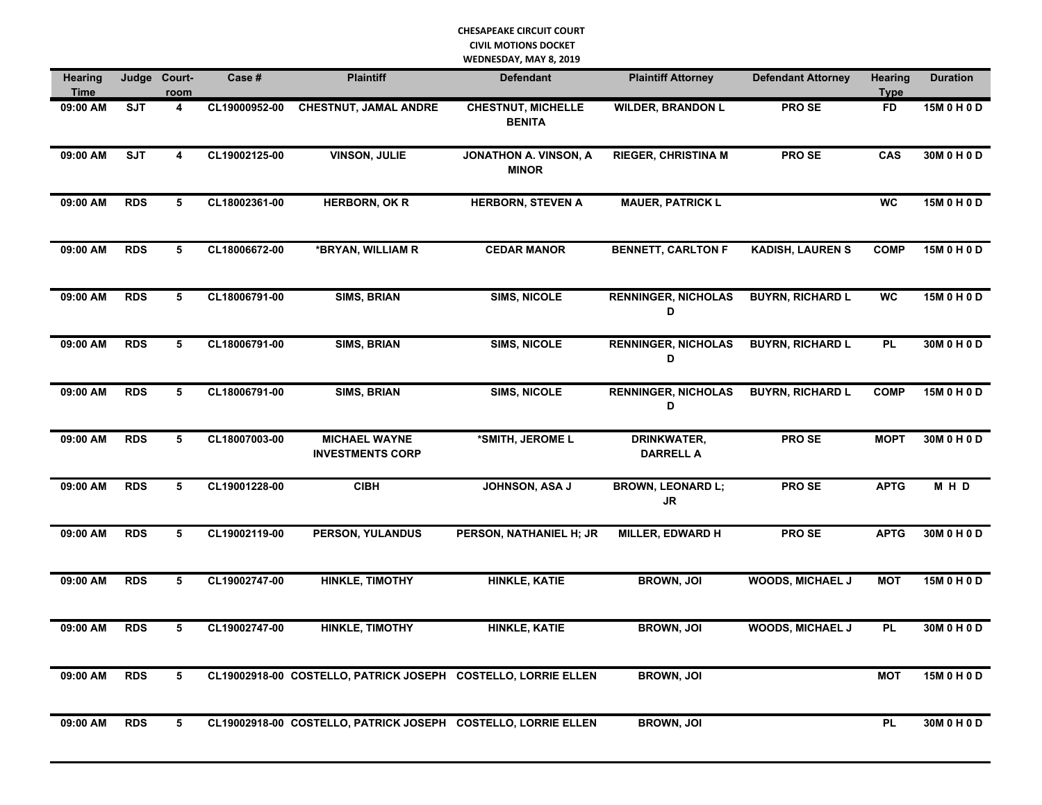| <b>Hearing</b><br>Time |            | Judge Court-<br>room | Case #        | <b>Plaintiff</b>                                              | <b>Defendant</b>                           | <b>Plaintiff Attorney</b>              | <b>Defendant Attorney</b> | <b>Hearing</b><br><b>Type</b> | <b>Duration</b> |
|------------------------|------------|----------------------|---------------|---------------------------------------------------------------|--------------------------------------------|----------------------------------------|---------------------------|-------------------------------|-----------------|
| 09:00 AM               | <b>SJT</b> | 4                    | CL19000952-00 | <b>CHESTNUT, JAMAL ANDRE</b>                                  | <b>CHESTNUT, MICHELLE</b><br><b>BENITA</b> | <b>WILDER, BRANDON L</b>               | <b>PROSE</b>              | <b>FD</b>                     | 15M 0 H 0 D     |
| 09:00 AM               | <b>SJT</b> | 4                    | CL19002125-00 | <b>VINSON, JULIE</b>                                          | JONATHON A. VINSON, A<br><b>MINOR</b>      | <b>RIEGER, CHRISTINA M</b>             | <b>PROSE</b>              | CAS                           | 30M 0 H 0 D     |
| 09:00 AM               | <b>RDS</b> | 5                    | CL18002361-00 | <b>HERBORN, OK R</b>                                          | <b>HERBORN, STEVEN A</b>                   | <b>MAUER, PATRICK L</b>                |                           | <b>WC</b>                     | 15M 0 H 0 D     |
| 09:00 AM               | <b>RDS</b> | 5                    | CL18006672-00 | *BRYAN, WILLIAM R                                             | <b>CEDAR MANOR</b>                         | <b>BENNETT, CARLTON F</b>              | <b>KADISH, LAUREN S</b>   | <b>COMP</b>                   | 15M 0 H 0 D     |
| 09:00 AM               | <b>RDS</b> | 5                    | CL18006791-00 | <b>SIMS, BRIAN</b>                                            | <b>SIMS, NICOLE</b>                        | <b>RENNINGER, NICHOLAS</b><br>D        | <b>BUYRN, RICHARD L</b>   | <b>WC</b>                     | 15M 0 H 0 D     |
| 09:00 AM               | <b>RDS</b> | 5                    | CL18006791-00 | <b>SIMS, BRIAN</b>                                            | <b>SIMS, NICOLE</b>                        | <b>RENNINGER, NICHOLAS</b><br>D        | <b>BUYRN, RICHARD L</b>   | <b>PL</b>                     | 30M 0 H 0 D     |
| 09:00 AM               | <b>RDS</b> | 5                    | CL18006791-00 | <b>SIMS, BRIAN</b>                                            | <b>SIMS, NICOLE</b>                        | <b>RENNINGER, NICHOLAS</b><br>D        | <b>BUYRN, RICHARD L</b>   | <b>COMP</b>                   | 15M 0 H 0 D     |
| 09:00 AM               | <b>RDS</b> | 5                    | CL18007003-00 | <b>MICHAEL WAYNE</b><br><b>INVESTMENTS CORP</b>               | *SMITH, JEROME L                           | <b>DRINKWATER,</b><br><b>DARRELL A</b> | <b>PROSE</b>              | <b>MOPT</b>                   | 30M 0 H 0 D     |
| 09:00 AM               | <b>RDS</b> | 5                    | CL19001228-00 | <b>CIBH</b>                                                   | <b>JOHNSON, ASA J</b>                      | <b>BROWN, LEONARD L;</b><br><b>JR</b>  | <b>PROSE</b>              | <b>APTG</b>                   | M H D           |
| 09:00 AM               | <b>RDS</b> | 5                    | CL19002119-00 | <b>PERSON, YULANDUS</b>                                       | PERSON, NATHANIEL H; JR                    | <b>MILLER, EDWARD H</b>                | <b>PROSE</b>              | <b>APTG</b>                   | 30M 0 H 0 D     |
| 09:00 AM               | <b>RDS</b> | 5                    | CL19002747-00 | <b>HINKLE, TIMOTHY</b>                                        | <b>HINKLE, KATIE</b>                       | <b>BROWN, JOI</b>                      | <b>WOODS, MICHAEL J</b>   | <b>MOT</b>                    | 15M 0 H 0 D     |
| 09:00 AM               | <b>RDS</b> | 5                    | CL19002747-00 | <b>HINKLE, TIMOTHY</b>                                        | <b>HINKLE, KATIE</b>                       | <b>BROWN, JOI</b>                      | <b>WOODS, MICHAEL J</b>   | <b>PL</b>                     | 30M 0 H 0 D     |
| 09:00 AM               | <b>RDS</b> | 5                    |               | CL19002918-00 COSTELLO, PATRICK JOSEPH COSTELLO, LORRIE ELLEN |                                            | <b>BROWN, JOI</b>                      |                           | <b>MOT</b>                    | 15M 0 H 0 D     |
| 09:00 AM               | <b>RDS</b> | 5                    |               | CL19002918-00 COSTELLO, PATRICK JOSEPH COSTELLO, LORRIE ELLEN |                                            | <b>BROWN, JOI</b>                      |                           | <b>PL</b>                     | 30M 0 H 0 D     |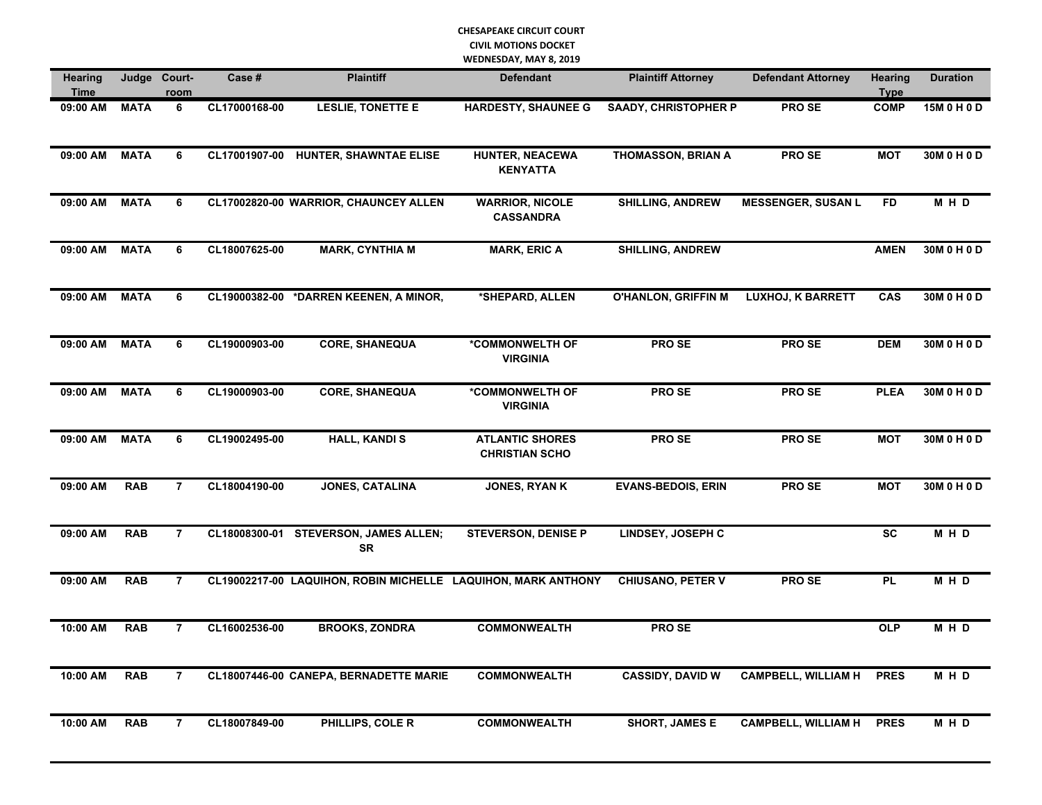| <b>Hearing</b><br><b>Time</b> | Judge       | Court-<br>room | Case #        | <b>Plaintiff</b>                                              | <b>Defendant</b>                                | <b>Plaintiff Attorney</b>   | <b>Defendant Attorney</b>  | <b>Hearing</b><br><b>Type</b> | <b>Duration</b> |
|-------------------------------|-------------|----------------|---------------|---------------------------------------------------------------|-------------------------------------------------|-----------------------------|----------------------------|-------------------------------|-----------------|
| 09:00 AM                      | <b>MATA</b> | 6              | CL17000168-00 | <b>LESLIE, TONETTE E</b>                                      | <b>HARDESTY, SHAUNEE G</b>                      | <b>SAADY, CHRISTOPHER P</b> | <b>PROSE</b>               | <b>COMP</b>                   | 15M 0 H 0 D     |
| 09:00 AM                      | <b>MATA</b> | 6              | CL17001907-00 | <b>HUNTER, SHAWNTAE ELISE</b>                                 | <b>HUNTER, NEACEWA</b><br><b>KENYATTA</b>       | <b>THOMASSON, BRIAN A</b>   | PRO SE                     | <b>MOT</b>                    | 30M 0 H 0 D     |
| 09:00 AM                      | <b>MATA</b> | 6              |               | CL17002820-00 WARRIOR, CHAUNCEY ALLEN                         | <b>WARRIOR, NICOLE</b><br><b>CASSANDRA</b>      | <b>SHILLING, ANDREW</b>     | <b>MESSENGER, SUSAN L</b>  | <b>FD</b>                     | M H D           |
| 09:00 AM                      | <b>MATA</b> | 6              | CL18007625-00 | <b>MARK, CYNTHIA M</b>                                        | <b>MARK, ERIC A</b>                             | <b>SHILLING, ANDREW</b>     |                            | <b>AMEN</b>                   | 30M 0 H 0 D     |
| 09:00 AM                      | <b>MATA</b> | 6              |               | CL19000382-00 *DARREN KEENEN, A MINOR,                        | *SHEPARD, ALLEN                                 | <b>O'HANLON, GRIFFIN M</b>  | <b>LUXHOJ, K BARRETT</b>   | CAS                           | 30M 0 H 0 D     |
| 09:00 AM                      | <b>MATA</b> | 6              | CL19000903-00 | <b>CORE, SHANEQUA</b>                                         | *COMMONWELTH OF<br><b>VIRGINIA</b>              | <b>PROSE</b>                | <b>PROSE</b>               | <b>DEM</b>                    | 30M 0 H 0 D     |
| 09:00 AM                      | <b>MATA</b> | 6              | CL19000903-00 | <b>CORE, SHANEQUA</b>                                         | *COMMONWELTH OF<br><b>VIRGINIA</b>              | <b>PROSE</b>                | <b>PROSE</b>               | <b>PLEA</b>                   | 30M 0 H 0 D     |
| 09:00 AM                      | <b>MATA</b> | 6              | CL19002495-00 | <b>HALL, KANDIS</b>                                           | <b>ATLANTIC SHORES</b><br><b>CHRISTIAN SCHO</b> | PRO SE                      | PRO SE                     | <b>MOT</b>                    | 30M 0 H 0 D     |
| 09:00 AM                      | <b>RAB</b>  | $\overline{7}$ | CL18004190-00 | <b>JONES, CATALINA</b>                                        | <b>JONES, RYAN K</b>                            | <b>EVANS-BEDOIS, ERIN</b>   | PRO SE                     | <b>MOT</b>                    | 30M 0 H 0 D     |
| 09:00 AM                      | <b>RAB</b>  | $\overline{7}$ |               | CL18008300-01 STEVERSON, JAMES ALLEN;<br><b>SR</b>            | <b>STEVERSON, DENISE P</b>                      | <b>LINDSEY, JOSEPH C</b>    |                            | <b>SC</b>                     | $M$ H D         |
| 09:00 AM                      | <b>RAB</b>  | $\overline{7}$ |               | CL19002217-00 LAQUIHON, ROBIN MICHELLE LAQUIHON, MARK ANTHONY |                                                 | <b>CHIUSANO, PETER V</b>    | <b>PROSE</b>               | <b>PL</b>                     | M H D           |
| 10:00 AM                      | <b>RAB</b>  | $\overline{7}$ | CL16002536-00 | <b>BROOKS, ZONDRA</b>                                         | <b>COMMONWEALTH</b>                             | <b>PROSE</b>                |                            | <b>OLP</b>                    | M H D           |
| 10:00 AM                      | <b>RAB</b>  | $\overline{7}$ |               | CL18007446-00 CANEPA, BERNADETTE MARIE                        | <b>COMMONWEALTH</b>                             | <b>CASSIDY, DAVID W</b>     | <b>CAMPBELL, WILLIAM H</b> | <b>PRES</b>                   | M H D           |
| 10:00 AM                      | <b>RAB</b>  | $\overline{7}$ | CL18007849-00 | PHILLIPS, COLE R                                              | <b>COMMONWEALTH</b>                             | <b>SHORT, JAMES E</b>       | <b>CAMPBELL, WILLIAM H</b> | <b>PRES</b>                   | M H D           |